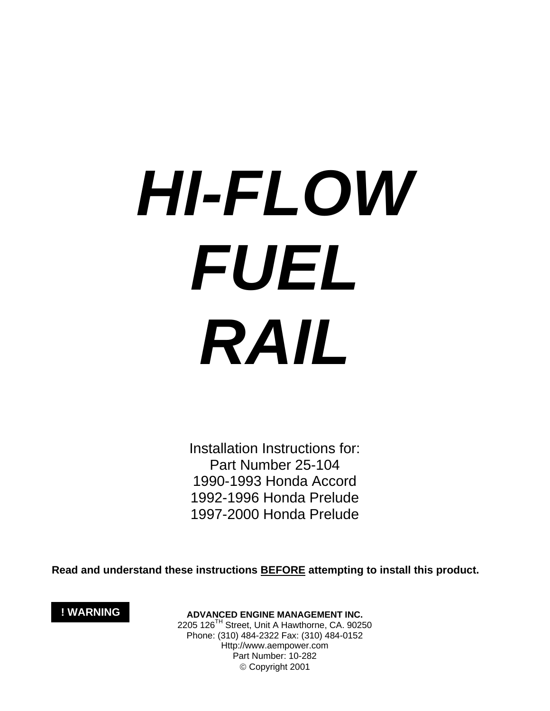# *HI-FLOW FUEL RAIL*

Installation Instructions for: Part Number 25-104 1990-1993 Honda Accord 1992-1996 Honda Prelude 1997-2000 Honda Prelude

**Read and understand these instructions BEFORE attempting to install this product.**

**! WARNING** 

**ADVANCED ENGINE MANAGEMENT INC.**  2205 126TH Street, Unit A Hawthorne, CA. 90250 Phone: (310) 484-2322 Fax: (310) 484-0152 Http://www.aempower.com Part Number: 10-282 © Copyright 2001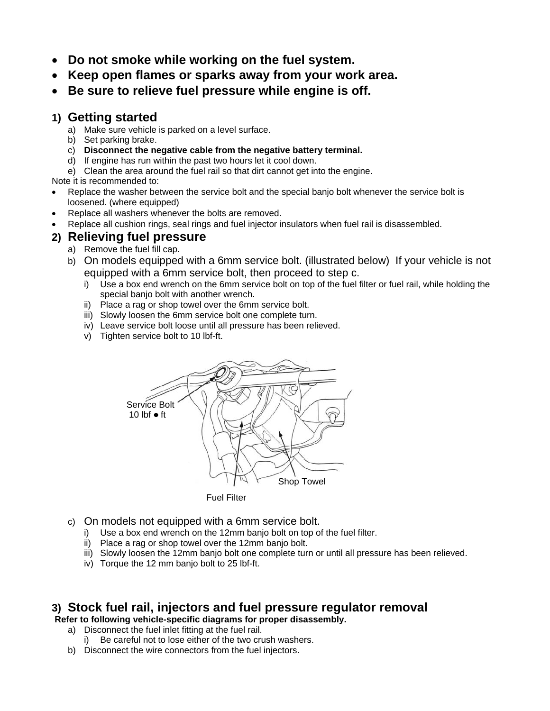- **Do not smoke while working on the fuel system.**
- **Keep open flames or sparks away from your work area.**
- **Be sure to relieve fuel pressure while engine is off.**

## **1) Getting started**

- a) Make sure vehicle is parked on a level surface.
- b) Set parking brake.
- c) **Disconnect the negative cable from the negative battery terminal.**
- d) If engine has run within the past two hours let it cool down.
- e) Clean the area around the fuel rail so that dirt cannot get into the engine.

Note it is recommended to:

- Replace the washer between the service bolt and the special banjo bolt whenever the service bolt is loosened. (where equipped)
- Replace all washers whenever the bolts are removed.
- Replace all cushion rings, seal rings and fuel injector insulators when fuel rail is disassembled.

## **2) Relieving fuel pressure**

- a) Remove the fuel fill cap.
- b) On models equipped with a 6mm service bolt. (illustrated below) If your vehicle is not equipped with a 6mm service bolt, then proceed to step c.
	- i) Use a box end wrench on the 6mm service bolt on top of the fuel filter or fuel rail, while holding the special banjo bolt with another wrench.
	- ii) Place a rag or shop towel over the 6mm service bolt.
	- iii) Slowly loosen the 6mm service bolt one complete turn.
	- iv) Leave service bolt loose until all pressure has been relieved.
	- v) Tighten service bolt to 10 lbf-ft.



Fuel Filter

- c) On models not equipped with a 6mm service bolt.
	- i) Use a box end wrench on the 12mm banjo bolt on top of the fuel filter.
	- ii) Place a rag or shop towel over the 12mm banjo bolt.
	- iii) Slowly loosen the 12mm banjo bolt one complete turn or until all pressure has been relieved.
	- iv) Torque the 12 mm banjo bolt to 25 lbf-ft.

# **3) Stock fuel rail, injectors and fuel pressure regulator removal**

## **Refer to following vehicle-specific diagrams for proper disassembly.**

- a) Disconnect the fuel inlet fitting at the fuel rail.
	- Be careful not to lose either of the two crush washers.
- b) Disconnect the wire connectors from the fuel injectors.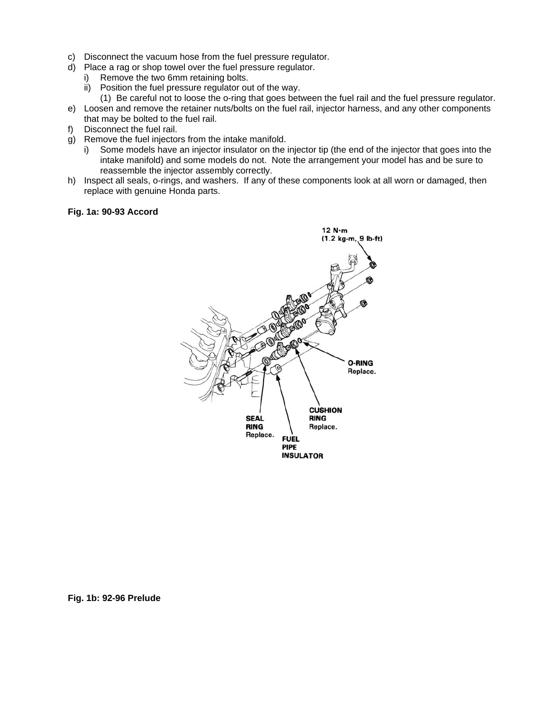- c) Disconnect the vacuum hose from the fuel pressure regulator.
- d) Place a rag or shop towel over the fuel pressure regulator.
	- i) Remove the two 6mm retaining bolts.
	- ii) Position the fuel pressure regulator out of the way.
- (1) Be careful not to loose the o-ring that goes between the fuel rail and the fuel pressure regulator.
- e) Loosen and remove the retainer nuts/bolts on the fuel rail, injector harness, and any other components that may be bolted to the fuel rail.
- f) Disconnect the fuel rail.
- g) Remove the fuel injectors from the intake manifold.
	- i) Some models have an injector insulator on the injector tip (the end of the injector that goes into the intake manifold) and some models do not. Note the arrangement your model has and be sure to reassemble the injector assembly correctly.
- h) Inspect all seals, o-rings, and washers. If any of these components look at all worn or damaged, then replace with genuine Honda parts.

#### **Fig. 1a: 90-93 Accord**



**Fig. 1b: 92-96 Prelude**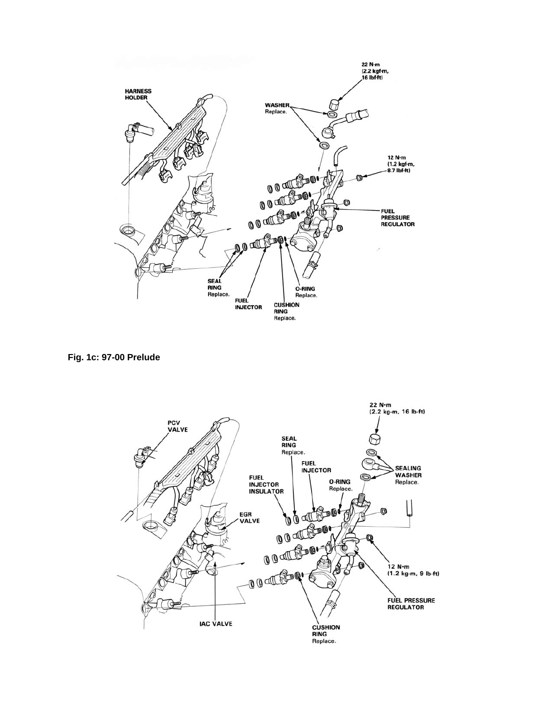

**Fig. 1c: 97-00 Prelude**